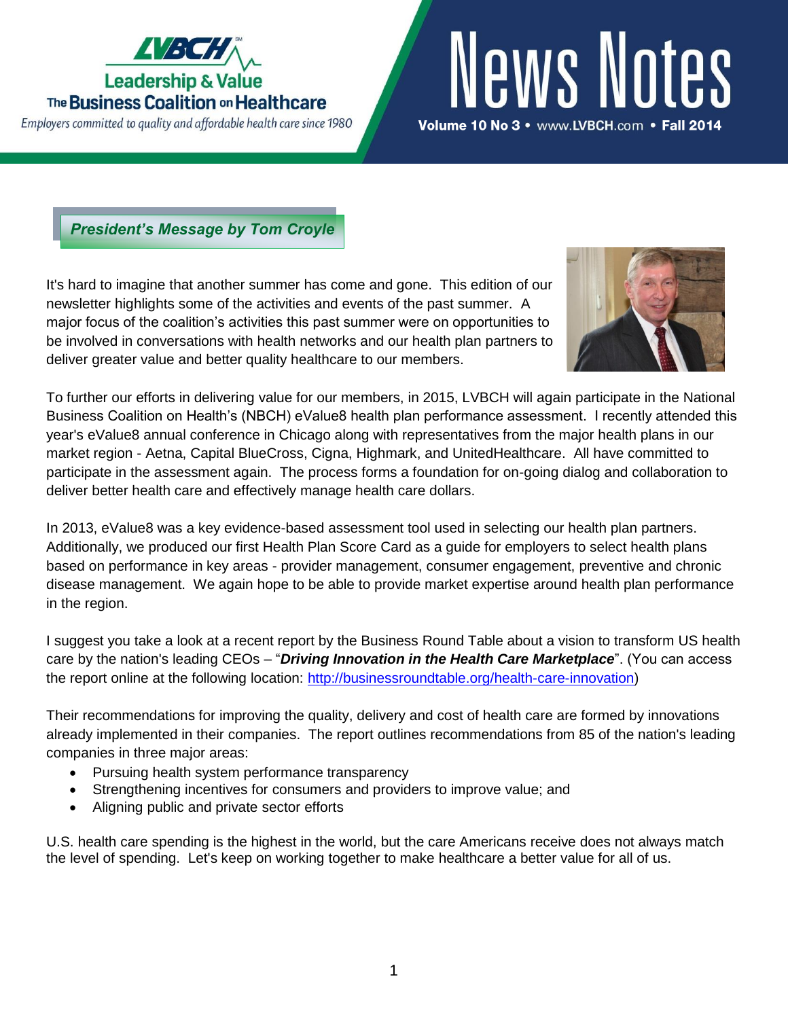

Employers committed to quality and affordable health care since 1980

# News Notes Volume 10 No 3 · www.LVBCH.com · Fall 2014

*President's Message by Tom Croyle*

It's hard to imagine that another summer has come and gone. This edition of our newsletter highlights some of the activities and events of the past summer. A major focus of the coalition's activities this past summer were on opportunities to be involved in conversations with health networks and our health plan partners to deliver greater value and better quality healthcare to our members.



To further our efforts in delivering value for our members, in 2015, LVBCH will again participate in the National Business Coalition on Health's (NBCH) eValue8 health plan performance assessment. I recently attended this year's eValue8 annual conference in Chicago along with representatives from the major health plans in our market region - Aetna, Capital BlueCross, Cigna, Highmark, and UnitedHealthcare. All have committed to participate in the assessment again. The process forms a foundation for on-going dialog and collaboration to deliver better health care and effectively manage health care dollars.

In 2013, eValue8 was a key evidence-based assessment tool used in selecting our health plan partners. Additionally, we produced our first Health Plan Score Card as a guide for employers to select health plans based on performance in key areas - provider management, consumer engagement, preventive and chronic disease management. We again hope to be able to provide market expertise around health plan performance in the region.

I suggest you take a look at a recent report by the Business Round Table about a vision to transform US health care by the nation's leading CEOs – "*Driving Innovation in the Health Care Marketplace*". (You can access the report online at the following location: [http://businessroundtable.org/health-care-innovation\)](http://businessroundtable.org/health-care-innovation)

Their recommendations for improving the quality, delivery and cost of health care are formed by innovations already implemented in their companies. The report outlines recommendations from 85 of the nation's leading companies in three major areas:

- Pursuing health system performance transparency
- Strengthening incentives for consumers and providers to improve value; and
- Aligning public and private sector efforts

U.S. health care spending is the highest in the world, but the care Americans receive does not always match the level of spending. Let's keep on working together to make healthcare a better value for all of us.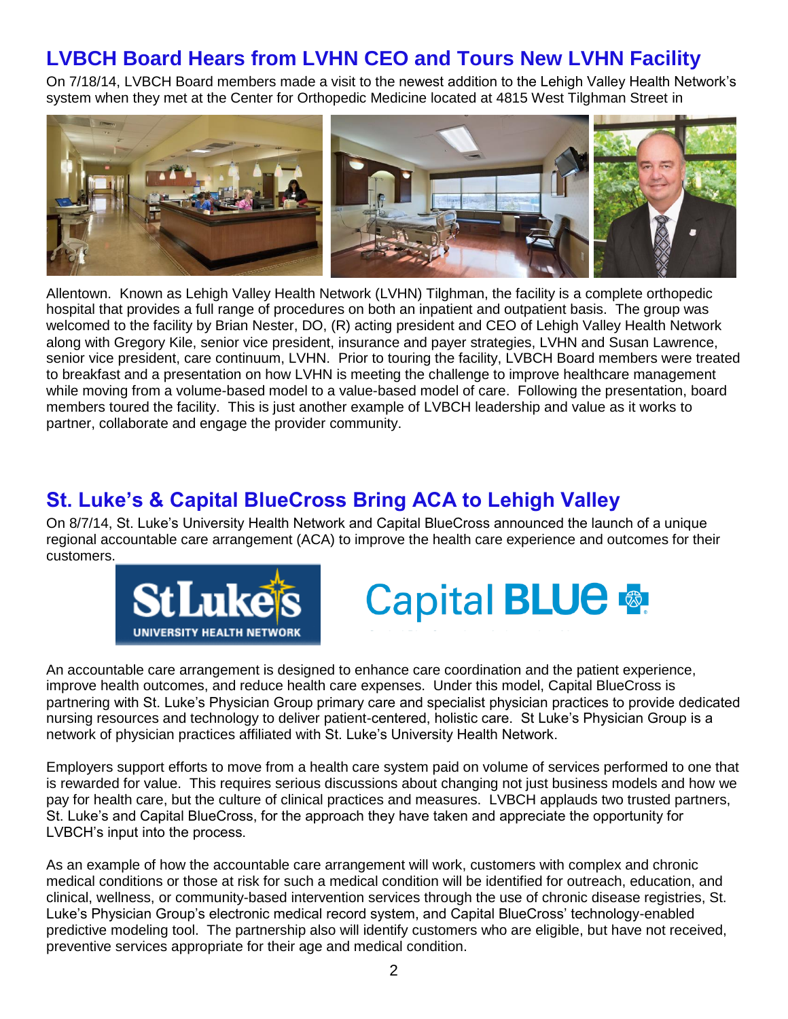## **LVBCH Board Hears from LVHN CEO and Tours New LVHN Facility**

On 7/18/14, LVBCH Board members made a visit to the newest addition to the Lehigh Valley Health Network's system when they met at the Center for Orthopedic Medicine located at 4815 West Tilghman Street in



Allentown. Known as Lehigh Valley Health Network (LVHN) Tilghman, the facility is a complete orthopedic hospital that provides a full range of procedures on both an inpatient and outpatient basis. The group was welcomed to the facility by Brian Nester, DO, (R) acting president and CEO of Lehigh Valley Health Network along with Gregory Kile, senior vice president, insurance and payer strategies, LVHN and Susan Lawrence, senior vice president, care continuum, LVHN. Prior to touring the facility, LVBCH Board members were treated to breakfast and a presentation on how LVHN is meeting the challenge to improve healthcare management while moving from a volume-based model to a value-based model of care. Following the presentation, board members toured the facility. This is just another example of LVBCH leadership and value as it works to partner, collaborate and engage the provider community.

### **St. Luke's & Capital BlueCross Bring ACA to Lehigh Valley**

On 8/7/14, St. Luke's University Health Network and Capital BlueCross announced the launch of a unique regional accountable care arrangement (ACA) to improve the health care experience and outcomes for their customers.





An accountable care arrangement is designed to enhance care coordination and the patient experience, improve health outcomes, and reduce health care expenses. Under this model, Capital BlueCross is partnering with St. Luke's Physician Group primary care and specialist physician practices to provide dedicated nursing resources and technology to deliver patient-centered, holistic care. St Luke's Physician Group is a network of physician practices affiliated with St. Luke's University Health Network.

Employers support efforts to move from a health care system paid on volume of services performed to one that is rewarded for value. This requires serious discussions about changing not just business models and how we pay for health care, but the culture of clinical practices and measures. LVBCH applauds two trusted partners, St. Luke's and Capital BlueCross, for the approach they have taken and appreciate the opportunity for LVBCH's input into the process.

As an example of how the accountable care arrangement will work, customers with complex and chronic medical conditions or those at risk for such a medical condition will be identified for outreach, education, and clinical, wellness, or community-based intervention services through the use of chronic disease registries, St. Luke's Physician Group's electronic medical record system, and Capital BlueCross' technology-enabled predictive modeling tool. The partnership also will identify customers who are eligible, but have not received, preventive services appropriate for their age and medical condition.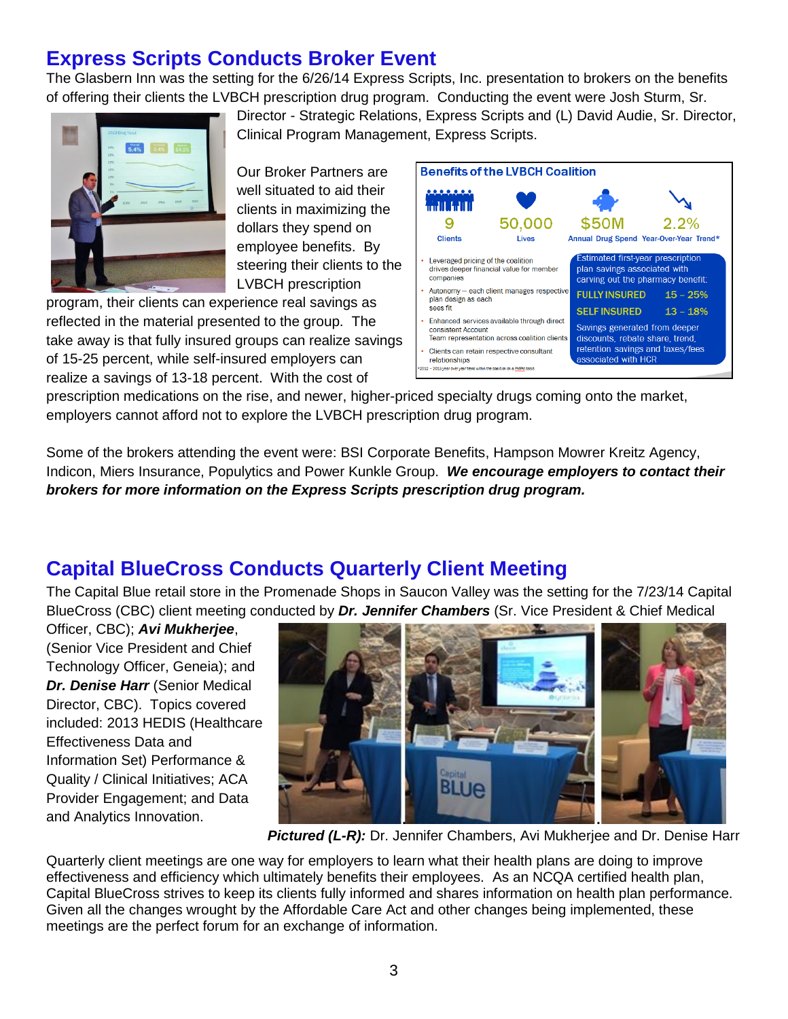## **Express Scripts Conducts Broker Event**

The Glasbern Inn was the setting for the 6/26/14 Express Scripts, Inc. presentation to brokers on the benefits of offering their clients the LVBCH prescription drug program. Conducting the event were Josh Sturm, Sr.



Director - Strategic Relations, Express Scripts and (L) David Audie, Sr. Director, Clinical Program Management, Express Scripts.

Our Broker Partners are well situated to aid their clients in maximizing the dollars they spend on employee benefits. By steering their clients to the LVBCH prescription

program, their clients can experience real savings as reflected in the material presented to the group. The take away is that fully insured groups can realize savings of 15-25 percent, while self-insured employers can realize a savings of 13-18 percent. With the cost of



prescription medications on the rise, and newer, higher-priced specialty drugs coming onto the market, employers cannot afford not to explore the LVBCH prescription drug program.

Some of the brokers attending the event were: BSI Corporate Benefits, Hampson Mowrer Kreitz Agency, Indicon, Miers Insurance, Populytics and Power Kunkle Group. *We encourage employers to contact their brokers for more information on the Express Scripts prescription drug program.*

## **Capital BlueCross Conducts Quarterly Client Meeting**

The Capital Blue retail store in the Promenade Shops in Saucon Valley was the setting for the 7/23/14 Capital BlueCross (CBC) client meeting conducted by *Dr. Jennifer Chambers* (Sr. Vice President & Chief Medical

Officer, CBC); *Avi Mukherjee*, (Senior Vice President and Chief Technology Officer, Geneia); and *Dr. Denise Harr* (Senior Medical Director, CBC). Topics covered included: 2013 HEDIS (Healthcare Effectiveness Data and Information Set) Performance & Quality / Clinical Initiatives; ACA Provider Engagement; and Data and Analytics Innovation.



*Pictured (L-R):* Dr. Jennifer Chambers, Avi Mukherjee and Dr. Denise Harr

Quarterly client meetings are one way for employers to learn what their health plans are doing to improve effectiveness and efficiency which ultimately benefits their employees. As an NCQA certified health plan, Capital BlueCross strives to keep its clients fully informed and shares information on health plan performance. Given all the changes wrought by the Affordable Care Act and other changes being implemented, these meetings are the perfect forum for an exchange of information.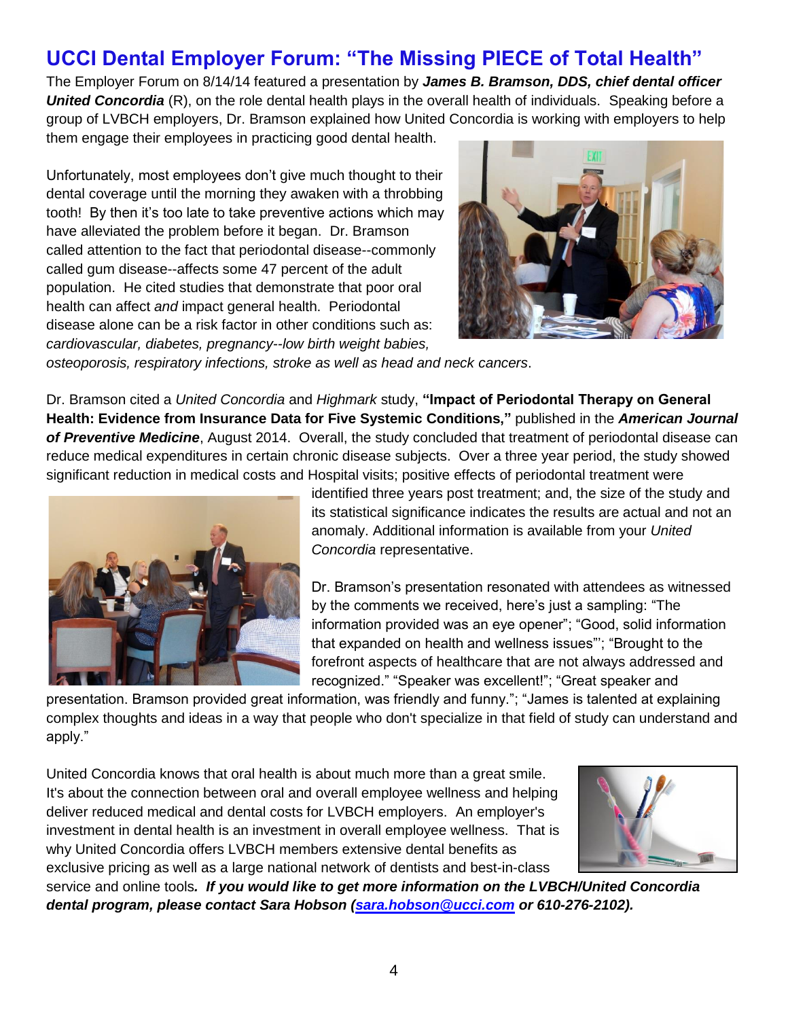# **UCCI Dental Employer Forum: "The Missing PIECE of Total Health"**

The Employer Forum on 8/14/14 featured a presentation by *James B. Bramson, DDS, chief dental officer United Concordia* (R), on the role dental health plays in the overall health of individuals. Speaking before a group of LVBCH employers, Dr. Bramson explained how United Concordia is working with employers to help them engage their employees in practicing good dental health.

Unfortunately, most employees don't give much thought to their dental coverage until the morning they awaken with a throbbing tooth! By then it's too late to take preventive actions which may have alleviated the problem before it began. Dr. Bramson called attention to the fact that periodontal disease--commonly called gum disease--affects some 47 percent of the adult population. He cited studies that demonstrate that poor oral health can affect *and* impact general health. Periodontal disease alone can be a risk factor in other conditions such as: *cardiovascular, diabetes, pregnancy--low birth weight babies,* 



*osteoporosis, respiratory infections, stroke as well as head and neck cancers*.

Dr. Bramson cited a *United Concordia* and *Highmark* study, **"Impact of Periodontal Therapy on General Health: Evidence from Insurance Data for Five Systemic Conditions,"** published in the *American Journal of Preventive Medicine*, August 2014. Overall, the study concluded that treatment of periodontal disease can reduce medical expenditures in certain chronic disease subjects. Over a three year period, the study showed significant reduction in medical costs and Hospital visits; positive effects of periodontal treatment were



identified three years post treatment; and, the size of the study and its statistical significance indicates the results are actual and not an anomaly. Additional information is available from your *United Concordia* representative.

Dr. Bramson's presentation resonated with attendees as witnessed by the comments we received, here's just a sampling: "The information provided was an eye opener"; "Good, solid information that expanded on health and wellness issues"'; "Brought to the forefront aspects of healthcare that are not always addressed and recognized." "Speaker was excellent!"; "Great speaker and

presentation. Bramson provided great information, was friendly and funny."; "James is talented at explaining complex thoughts and ideas in a way that people who don't specialize in that field of study can understand and apply."

United Concordia knows that oral health is about much more than a great smile. It's about the connection between oral and overall employee wellness and helping deliver reduced medical and dental costs for LVBCH employers. An employer's investment in dental health is an investment in overall employee wellness. That is why United Concordia offers LVBCH members extensive dental benefits as exclusive pricing as well as a large national network of dentists and best-in-class



service and online tools*. If you would like to get more information on the LVBCH/United Concordia dental program, please contact Sara Hobson [\(sara.hobson@ucci.com](mailto:sara.hobson@ucci.com) or 610-276-2102).*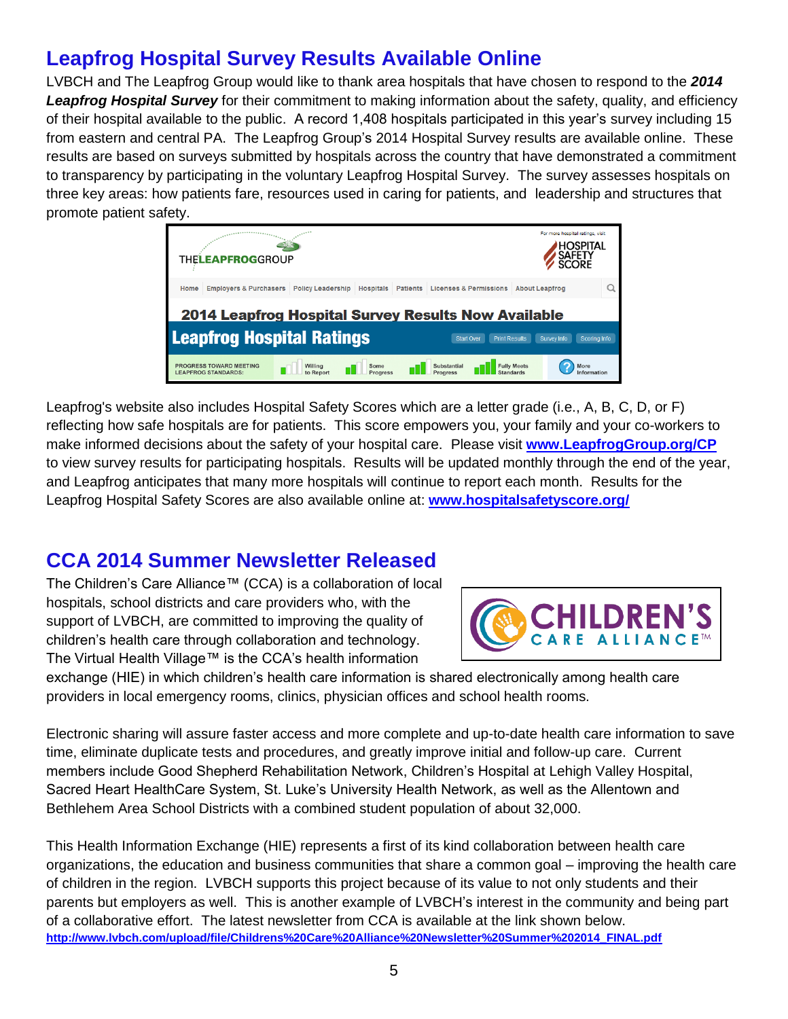# **Leapfrog Hospital Survey Results Available Online**

LVBCH and The Leapfrog Group would like to thank area hospitals that have chosen to respond to the *2014 Leapfrog Hospital Survey* for their commitment to making information about the safety, quality, and efficiency of their hospital available to the public. A record 1,408 hospitals participated in this year's survey including 15 from eastern and central PA. The Leapfrog Group's 2014 Hospital Survey results are available online. These results are based on surveys submitted by hospitals across the country that have demonstrated a commitment to transparency by participating in the voluntary Leapfrog Hospital Survey. The survey assesses hospitals on three key areas: how patients fare, resources used in caring for patients, and leadership and structures that promote patient safety.



Leapfrog's website also includes Hospital Safety Scores which are a letter grade (i.e., A, B, C, D, or F) reflecting how safe hospitals are for patients. This score empowers you, your family and your co-workers to make informed decisions about the safety of your hospital care. Please visit **[www.LeapfrogGroup.org/CP](http://www.leapfroggroup.org/CP)** to view survey results for participating hospitals. Results will be updated monthly through the end of the year, and Leapfrog anticipates that many more hospitals will continue to report each month. Results for the Leapfrog Hospital Safety Scores are also available online at: **[www.hospitalsafetyscore.org/](http://www.hospitalsafetyscore.org/)**

#### **CCA 2014 Summer Newsletter Released**

The Children's Care Alliance™ (CCA) is a collaboration of local hospitals, school districts and care providers who, with the support of LVBCH, are committed to improving the quality of children's health care through collaboration and technology. The Virtual Health Village™ is the CCA's health information



exchange (HIE) in which children's health care information is shared electronically among health care providers in local emergency rooms, clinics, physician offices and school health rooms.

Electronic sharing will assure faster access and more complete and up-to-date health care information to save time, eliminate duplicate tests and procedures, and greatly improve initial and follow-up care. Current members include Good Shepherd Rehabilitation Network, Children's Hospital at Lehigh Valley Hospital, Sacred Heart HealthCare System, St. Luke's University Health Network, as well as the Allentown and Bethlehem Area School Districts with a combined student population of about 32,000.

This Health Information Exchange (HIE) represents a first of its kind collaboration between health care organizations, the education and business communities that share a common goal – improving the health care of children in the region. LVBCH supports this project because of its value to not only students and their parents but employers as well. This is another example of LVBCH's interest in the community and being part of a collaborative effort. The latest newsletter from CCA is available at the link shown below. **[http://www.lvbch.com/upload/file/Childrens%20Care%20Alliance%20Newsletter%20Summer%202014\\_FINAL.pdf](http://www.lvbch.com/upload/file/Childrens%20Care%20Alliance%20Newsletter%20Summer%202014_FINAL.pdf)**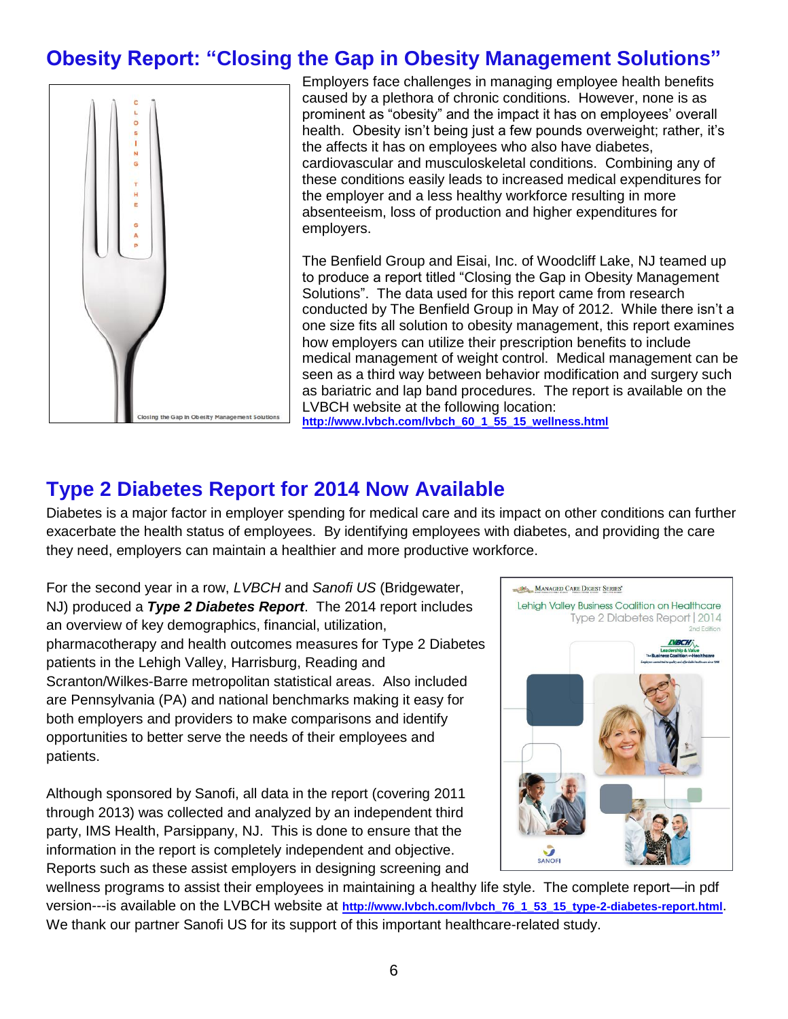## **Obesity Report: "Closing the Gap in Obesity Management Solutions"**



Employers face challenges in managing employee health benefits caused by a plethora of chronic conditions. However, none is as prominent as "obesity" and the impact it has on employees' overall health. Obesity isn't being just a few pounds overweight; rather, it's the affects it has on employees who also have diabetes, cardiovascular and musculoskeletal conditions. Combining any of these conditions easily leads to increased medical expenditures for the employer and a less healthy workforce resulting in more absenteeism, loss of production and higher expenditures for employers.

The Benfield Group and Eisai, Inc. of Woodcliff Lake, NJ teamed up to produce a report titled "Closing the Gap in Obesity Management Solutions". The data used for this report came from research conducted by The Benfield Group in May of 2012. While there isn't a one size fits all solution to obesity management, this report examines how employers can utilize their prescription benefits to include medical management of weight control. Medical management can be seen as a third way between behavior modification and surgery such as bariatric and lap band procedures. The report is available on the LVBCH website at the following location: **[http://www.lvbch.com/lvbch\\_60\\_1\\_55\\_15\\_wellness.html](http://www.lvbch.com/lvbch_60_1_55_15_wellness.html)**

#### **Type 2 Diabetes Report for 2014 Now Available**

Diabetes is a major factor in employer spending for medical care and its impact on other conditions can further exacerbate the health status of employees. By identifying employees with diabetes, and providing the care they need, employers can maintain a healthier and more productive workforce.

For the second year in a row, *LVBCH* and *Sanofi US* (Bridgewater, NJ) produced a *Type 2 Diabetes Report*. The 2014 report includes an overview of key demographics, financial, utilization, pharmacotherapy and health outcomes measures for Type 2 Diabetes patients in the Lehigh Valley, Harrisburg, Reading and Scranton/Wilkes-Barre metropolitan statistical areas. Also included are Pennsylvania (PA) and national benchmarks making it easy for both employers and providers to make comparisons and identify opportunities to better serve the needs of their employees and patients.

Although sponsored by Sanofi, all data in the report (covering 2011 through 2013) was collected and analyzed by an independent third party, IMS Health, Parsippany, NJ. This is done to ensure that the information in the report is completely independent and objective. Reports such as these assist employers in designing screening and



wellness programs to assist their employees in maintaining a healthy life style. The complete report—in pdf version---is available on the LVBCH website at **http://www.lvbch.com/lvbch 76\_1\_53\_15\_type-2-diabetes-report.html**. We thank our partner Sanofi US for its support of this important healthcare-related study.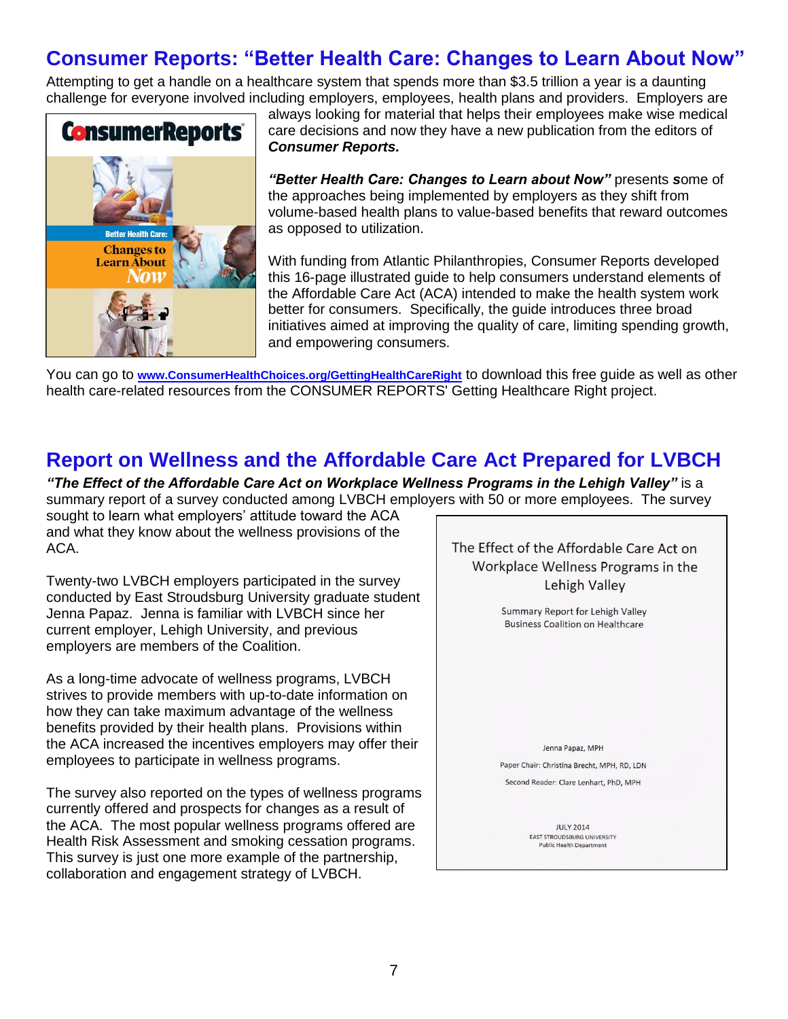## **Consumer Reports: "Better Health Care: Changes to Learn About Now"**

Attempting to get a handle on a healthcare system that spends more than \$3.5 trillion a year is a daunting challenge for everyone involved including employers, employees, health plans and providers. Employers are



always looking for material that helps their employees make wise medical care decisions and now they have a new publication from the editors of *Consumer Reports.* 

*"Better Health Care: Changes to Learn about Now"* presents *s*ome of the approaches being implemented by employers as they shift from volume-based health plans to value-based benefits that reward outcomes as opposed to utilization.

With funding from Atlantic Philanthropies, Consumer Reports developed this 16-page illustrated guide to help consumers understand elements of the Affordable Care Act (ACA) intended to make the health system work better for consumers. Specifically, the guide introduces three broad initiatives aimed at improving the quality of care, limiting spending growth, and empowering consumers.

You can go to **[www.ConsumerHealthChoices.org/GettingHealthCareRight](http://www.consumerhealthchoices.org/GettingHealthCareRight)** to download this free guide as well as other health care-related resources from the CONSUMER REPORTS' Getting Healthcare Right project.

#### **Report on Wellness and the Affordable Care Act Prepared for LVBCH**

*"The Effect of the Affordable Care Act on Workplace Wellness Programs in the Lehigh Valley"* is a summary report of a survey conducted among LVBCH employers with 50 or more employees. The survey

sought to learn what employers' attitude toward the ACA and what they know about the wellness provisions of the ACA.

Twenty-two LVBCH employers participated in the survey conducted by East Stroudsburg University graduate student Jenna Papaz. Jenna is familiar with LVBCH since her current employer, Lehigh University, and previous employers are members of the Coalition.

As a long-time advocate of wellness programs, LVBCH strives to provide members with up-to-date information on how they can take maximum advantage of the wellness benefits provided by their health plans. Provisions within the ACA increased the incentives employers may offer their employees to participate in wellness programs.

The survey also reported on the types of wellness programs currently offered and prospects for changes as a result of the ACA. The most popular wellness programs offered are Health Risk Assessment and smoking cessation programs. This survey is just one more example of the partnership, collaboration and engagement strategy of LVBCH.

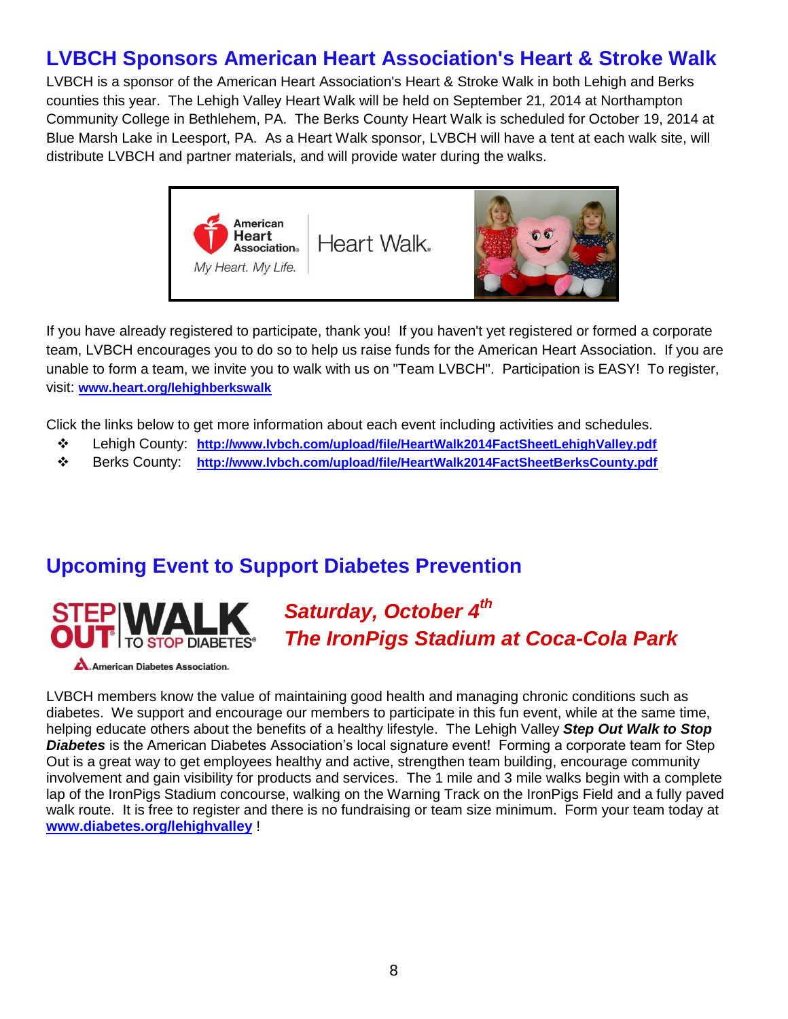## **LVBCH Sponsors American Heart Association's Heart & Stroke Walk**

LVBCH is a sponsor of the American Heart Association's Heart & Stroke Walk in both Lehigh and Berks counties this year. The Lehigh Valley Heart Walk will be held on September 21, 2014 at Northampton Community College in Bethlehem, PA. The Berks County Heart Walk is scheduled for October 19, 2014 at Blue Marsh Lake in Leesport, PA. As a Heart Walk sponsor, LVBCH will have a tent at each walk site, will distribute LVBCH and partner materials, and will provide water during the walks.



If you have already registered to participate, thank you! If you haven't yet registered or formed a corporate team, LVBCH encourages you to do so to help us raise funds for the American Heart Association. If you are unable to form a team, we invite you to walk with us on "Team LVBCH". Participation is EASY! To register, visit: **[www.heart.org/lehighberkswalk](http://www.heart.org/lehighberkswalk)**

Click the links below to get more information about each event including activities and schedules.

- Lehigh County: **<http://www.lvbch.com/upload/file/HeartWalk2014FactSheetLehighValley.pdf>**
- Berks County: **<http://www.lvbch.com/upload/file/HeartWalk2014FactSheetBerksCounty.pdf>**

#### **Upcoming Event to Support Diabetes Prevention**



## *Saturday, October 4th The IronPigs Stadium at Coca-Cola Park*

**American Diabetes Association.** 

LVBCH members know the value of maintaining good health and managing chronic conditions such as diabetes. We support and encourage our members to participate in this fun event, while at the same time, helping educate others about the benefits of a healthy lifestyle. The Lehigh Valley *Step Out Walk to Stop Diabetes* is the American Diabetes Association's local signature event! Forming a corporate team for Step Out is a great way to get employees healthy and active, strengthen team building, encourage community involvement and gain visibility for products and services. The 1 mile and 3 mile walks begin with a complete lap of the IronPigs Stadium concourse, walking on the Warning Track on the IronPigs Field and a fully paved walk route. It is free to register and there is no fundraising or team size minimum. Form your team today at **[www.diabetes.org/lehighvalley](http://www.diabetes.org/lehighvalley)** !